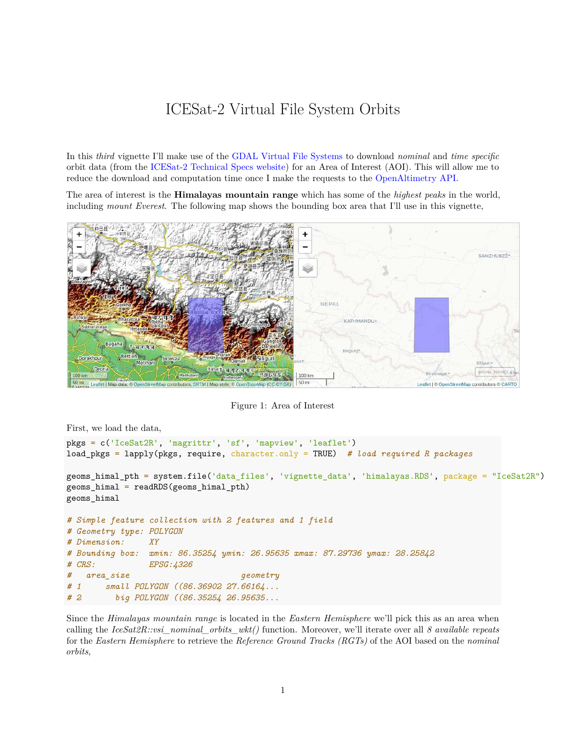## ICESat-2 Virtual File System Orbits

In this *third* vignette I'll make use of the [GDAL Virtual File Systems](https://gdal.org/user/virtual_file_systems.html) to download *nominal* and *time specific* orbit data (from the [ICESat-2 Technical Specs website\)](https://icesat-2.gsfc.nasa.gov/science/specs) for an Area of Interest (AOI). This will allow me to reduce the download and computation time once I make the requests to the [OpenAltimetry API.](https://openaltimetry.org/data/swagger-ui/)

The area of interest is the **Himalayas mountain range** which has some of the *highest peaks* in the world, including *mount Everest*. The following map shows the bounding box area that I'll use in this vignette,



Figure 1: Area of Interest

First, we load the data,

```
pkgs = c('IceSat2R', 'magrittr', 'sf', 'mapview', 'leaflet')
load_pkgs = lapply(pkgs, require, character.only = TRUE) # load required R packages
geoms_himal_pth = system.file('data_files', 'vignette_data', 'himalayas.RDS', package = "IceSat2R")
geoms_himal = readRDS(geoms_himal_pth)
geoms_himal
# Simple feature collection with 2 features and 1 field
# Geometry type: POLYGON
# Dimension: XY
# Bounding box: xmin: 86.35254 ymin: 26.95635 xmax: 87.29736 ymax: 28.25842
# CRS: EPSG:4326
# area_size geometry
# 1 small POLYGON ((86.36902 27.66164...
# 2 big POLYGON ((86.35254 26.95635...
```
Since the *Himalayas mountain range* is located in the *Eastern Hemisphere* we'll pick this as an area when calling the *IceSat2R::vsi\_nominal\_orbits\_wkt()* function. Moreover, we'll iterate over all *8 available repeats* for the *Eastern Hemisphere* to retrieve the *Reference Ground Tracks (RGTs)* of the AOI based on the *nominal orbits*,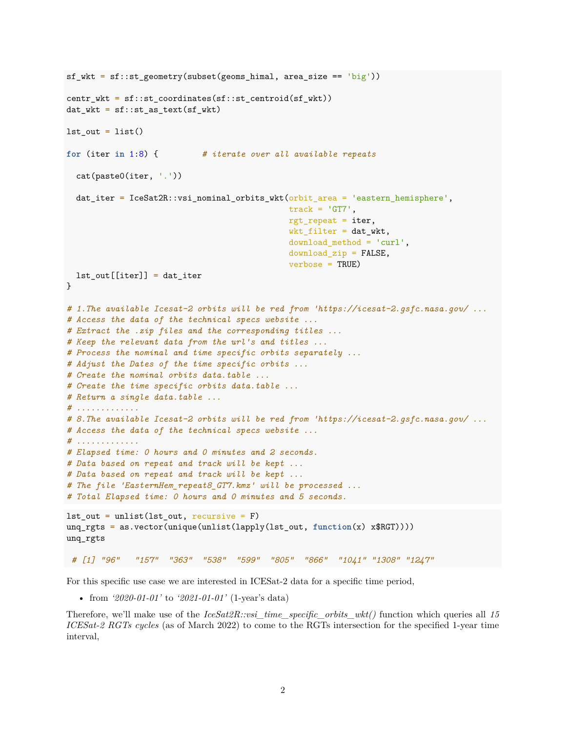```
sf_wkt = sf::st\_geometry(subset(geoms_himal, area_size == 'big'))centr_wkt = sf::st_coordinates(sf::st_centroid(sf_wkt))
dat_wkt = sf::st_as_text(sf_wkt)lst_out = list()for (iter in 1:8) { # iterate over all available repeats
  cat(paste0(iter, '.'))
  dat_iter = IceSat2R::vsi_nominal_orbits_wkt(orbit_area = 'eastern_hemisphere',
                                              track = 'GT7',rgt_repeat = iter,
                                              wkt_fitter = dat_wkt,download_method = 'curl',
                                              download_zip = FALSE,
                                              verbose = TRUE)
  lst_out[[iter]] = dat_iter
}
# 1.The available Icesat-2 orbits will be red from 'https://icesat-2.gsfc.nasa.gov/ ...
# Access the data of the technical specs website ...
# Extract the .zip files and the corresponding titles ...
# Keep the relevant data from the url's and titles ...
# Process the nominal and time specific orbits separately ...
# Adjust the Dates of the time specific orbits ...
# Create the nominal orbits data.table ...
# Create the time specific orbits data.table ...
# Return a single data.table ...
# .............
# 8.The available Icesat-2 orbits will be red from 'https://icesat-2.gsfc.nasa.gov/ ...
# Access the data of the technical specs website ...
# .............
# Elapsed time: 0 hours and 0 minutes and 2 seconds.
# Data based on repeat and track will be kept ...
# Data based on repeat and track will be kept ...
# The file 'EasternHem_repeat8_GT7.kmz' will be processed ...
# Total Elapsed time: 0 hours and 0 minutes and 5 seconds.
lst_out = unlist(lst_out, recursive = F)unq_rgts = as.vector(unique(unlist(lapply(lst_out, function(x) x$RGT))))
unq_rgts
# [1] "96" "157" "363" "538" "599" "805" "866" "1041" "1308" "1247"
```
For this specific use case we are interested in ICESat-2 data for a specific time period,

• from *'2020-01-01'* to *'2021-01-01'* (1-year's data)

Therefore, we'll make use of the *IceSat2R::vsi\_time\_specific\_orbits\_wkt()* function which queries all *15 ICESat-2 RGTs cycles* (as of March 2022) to come to the RGTs intersection for the specified 1-year time interval,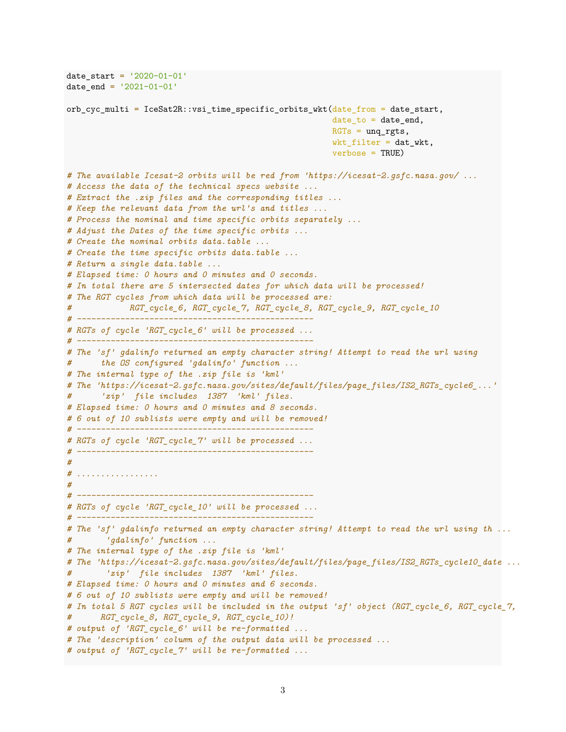```
date_start = '2020-01-01'
date_end = '2021-01-01'orb_cyc_multi = IceSat2R::vsi_time_specific_orbits_wkt(date_from = date_start,
                                                       date_to = date_and,RGTs = ung_rgts,wkt_filter = dat_wkt,
                                                       verbose = TRUE)
# The available Icesat-2 orbits will be red from 'https://icesat-2.gsfc.nasa.gov/ ...
# Access the data of the technical specs website ...
# Extract the .zip files and the corresponding titles ...
# Keep the relevant data from the url's and titles ...
# Process the nominal and time specific orbits separately ...
# Adjust the Dates of the time specific orbits ...
# Create the nominal orbits data.table ...
# Create the time specific orbits data.table ...
# Return a single data.table ...
# Elapsed time: 0 hours and 0 minutes and 0 seconds.
# In total there are 5 intersected dates for which data will be processed!
# The RGT cycles from which data will be processed are:
           # RGT_cycle_6, RGT_cycle_7, RGT_cycle_8, RGT_cycle_9, RGT_cycle_10
# -------------------------------------------------
# RGTs of cycle 'RGT_cycle_6' will be processed ...
# -------------------------------------------------
# The 'sf' gdalinfo returned an empty character string! Attempt to read the url using
# the OS configured 'gdalinfo' function ...
# The internal type of the .zip file is 'kml'
# The 'https://icesat-2.gsfc.nasa.gov/sites/default/files/page_files/IS2_RGTs_cycle6_...'
# 'zip' file includes 1387 'kml' files.
# Elapsed time: 0 hours and 0 minutes and 8 seconds.
# 6 out of 10 sublists were empty and will be removed!
# -------------------------------------------------
# RGTs of cycle 'RGT_cycle_7' will be processed ...
# -------------------------------------------------
#
# .................
#
# -------------------------------------------------
# RGTs of cycle 'RGT_cycle_10' will be processed ...
# -------------------------------------------------
# The 'sf' gdalinfo returned an empty character string! Attempt to read the url using th ...
# 'gdalinfo' function ...
# The internal type of the .zip file is 'kml'
# The 'https://icesat-2.gsfc.nasa.gov/sites/default/files/page_files/IS2_RGTs_cycle10_date ...
# 'zip' file includes 1387 'kml' files.
# Elapsed time: 0 hours and 0 minutes and 6 seconds.
# 6 out of 10 sublists were empty and will be removed!
# In total 5 RGT cycles will be included in the output 'sf' object (RGT_cycle_6, RGT_cycle_7,
# RGT_cycle_8, RGT_cycle_9, RGT_cycle_10)!
# output of 'RGT_cycle_6' will be re-formatted ...
# The 'description' column of the output data will be processed ...
# output of 'RGT_cycle_7' will be re-formatted ...
```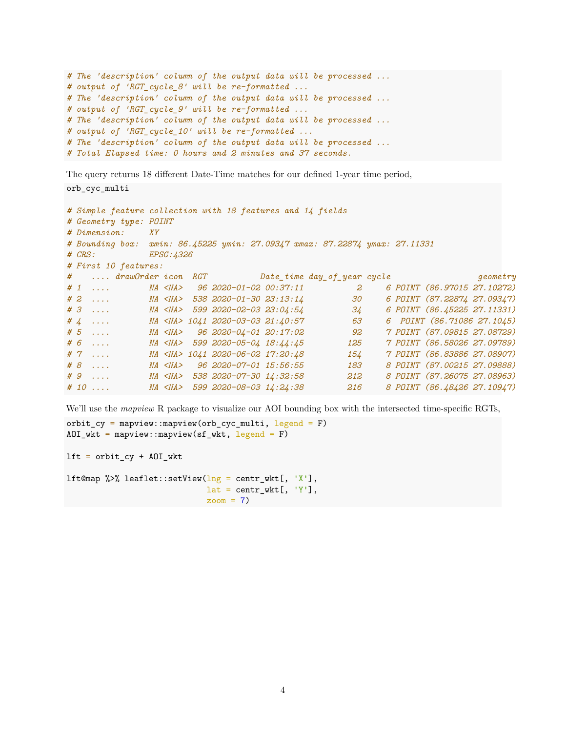```
# The 'description' column of the output data will be processed ...
# output of 'RGT_cycle_8' will be re-formatted ...
# The 'description' column of the output data will be processed ...
# output of 'RGT_cycle_9' will be re-formatted ...
# The 'description' column of the output data will be processed ...
# output of 'RGT_cycle_10' will be re-formatted ...
# The 'description' column of the output data will be processed ...
# Total Elapsed time: 0 hours and 2 minutes and 37 seconds.
```
The query returns 18 different Date-Time matches for our defined 1-year time period,

```
orb_cyc_multi
```

```
# Simple feature collection with 18 features and 14 fields
# Geometry type: POINT
# Dimension: XY
# Bounding box: xmin: 86.45225 ymin: 27.09347 xmax: 87.22874 ymax: 27.11331
# CRS: EPSG:4326
# First 10 features:
# .... drawOrder icon RGT Date_time day_of_year cycle geometry
# 1 .... NA <NA> 96 2020-01-02 00:37:11 2 6 POINT (86.97015 27.10272)
# 2 .... NA <NA> 538 2020-01-30 23:13:14 30 6 POINT (87.22874 27.09347)
# 3 .... NA <NA> 599 2020-02-03 23:04:54 34 6 POINT (86.45225 27.11331)
# 4 .... NA <NA> 1041 2020-03-03 21:40:57 63 6 POINT (86.71086 27.1045)
# 5 .... NA <NA> 96 2020-04-01 20:17:02 92 7 POINT (87.09815 27.08729)
# 6 .... NA <NA> 599 2020-05-04 18:44:45 125 7 POINT (86.58026 27.09789)
# 7 .... NA <NA> 1041 2020-06-02 17:20:48 154 7 POINT (86.83886 27.08907)
# 8 .... NA <NA> 96 2020-07-01 15:56:55 183 8 POINT (87.00215 27.09888)
# 9 .... NA <NA> 538 2020-07-30 14:32:58 212 8 POINT (87.26075 27.08963)
# 10 .... NA <NA> 599 2020-08-03 14:24:38 216 8 POINT (86.48426 27.10947)
```
We'll use the *mapview* R package to visualize our AOI bounding box with the intersected time-specific RGTs,

```
orbit cy = mapview::mapview(orb cyc_multi, legend = F)
AOT_wkt = mapview:: mapview(sf_wkt, legend = F)
```
 $lt = orbit_c$  +  $A0I_wkt$ 

```
lft@map %>% leaflet::setView(\ln g = \text{centr\_wkt}[, 'X'],
                                 lat = centr_wkt[, 'Y'],
                                 zoom = 7)
```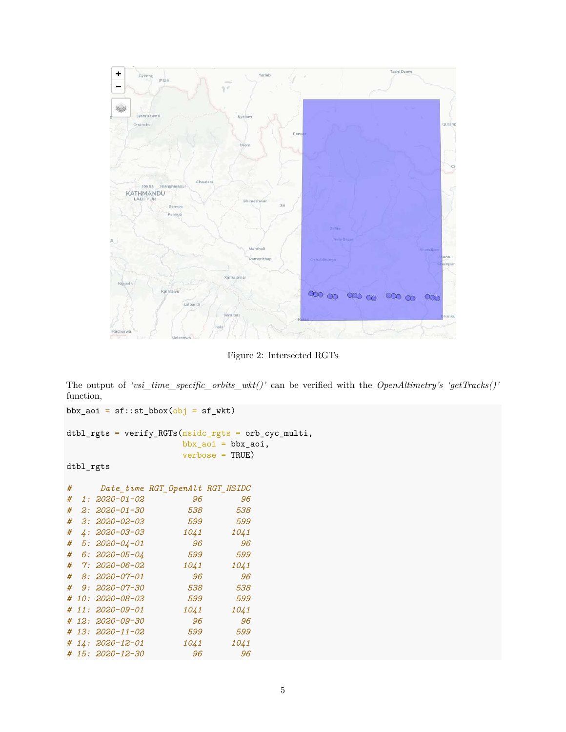

Figure 2: Intersected RGTs

The output of *'vsi\_time\_specific\_orbits\_wkt()'* can be verified with the *OpenAltimetry's 'getTracks()'* function,

 $bbx$ <sub>2</sub>oi = sf::st\_bbox(obj = sf\_wkt) dtbl\_rgts = verify\_RGTs(nsidc\_rgts = orb\_cyc\_multi, bbx\_aoi = bbx\_aoi, verbose = TRUE)

## dtbl\_rgts

| # |                     | Date time RGT OpenAlt RGT NSIDC |      |
|---|---------------------|---------------------------------|------|
| # | $1:2020 - 01 - 02$  | 96                              | 96   |
| # | 2: 2020-01-30       | 538                             | 538  |
| # | $3:2020 - 02 - 03$  | 599                             | 599  |
| # | $4:2020 - 03 - 03$  | 1041                            | 1041 |
| # | $5: 2020 - 04 - 01$ | 96                              | 96   |
| # | $6: 2020 - 05 - 04$ | 599                             | 599  |
| # | $7:2020 - 06 - 02$  | 1041                            | 1041 |
| # | 8: 2020-07-01       | 96                              | 96   |
| # | $9:2020 - 07 - 30$  | 538                             | 538  |
| # | $10:2020 - 08 - 03$ | 599                             | 599  |
|   | # 11: 2020-09-01    | 1041                            | 1041 |
|   | # 12: 2020-09-30    | 96                              | 96   |
|   | # 13: 2020-11-02    | 599                             | 599  |
|   | # 14: 2020-12-01    | 1041                            | 1041 |
|   | # 15: 2020-12-30    | 96                              | 96   |